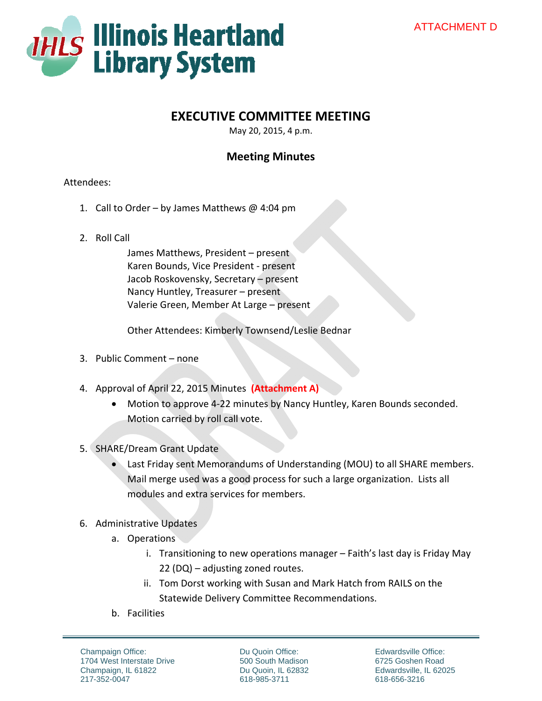

# **EXECUTIVE COMMITTEE MEETING**

May 20, 2015, 4 p.m.

## **Meeting Minutes**

#### Attendees:

- 1. Call to Order by James Matthews @ 4:04 pm
- 2. Roll Call

James Matthews, President – present Karen Bounds, Vice President ‐ present Jacob Roskovensky, Secretary – present Nancy Huntley, Treasurer – present Valerie Green, Member At Large – present

Other Attendees: Kimberly Townsend/Leslie Bednar

- 3. Public Comment none
- 4. Approval of April 22, 2015 Minutes **(Attachment A)**
	- Motion to approve 4‐22 minutes by Nancy Huntley, Karen Bounds seconded. Motion carried by roll call vote.
- 5. SHARE/Dream Grant Update
	- Last Friday sent Memorandums of Understanding (MOU) to all SHARE members. Mail merge used was a good process for such a large organization. Lists all modules and extra services for members.
- 6. Administrative Updates
	- a. Operations
		- i. Transitioning to new operations manager Faith's last day is Friday May 22 (DQ) – adjusting zoned routes.
		- ii. Tom Dorst working with Susan and Mark Hatch from RAILS on the Statewide Delivery Committee Recommendations.
	- b. Facilities

Champaign Office: 1704 West Interstate Drive Champaign, IL 61822 217-352-0047

Du Quoin Office: 500 South Madison Du Quoin, IL 62832 618-985-3711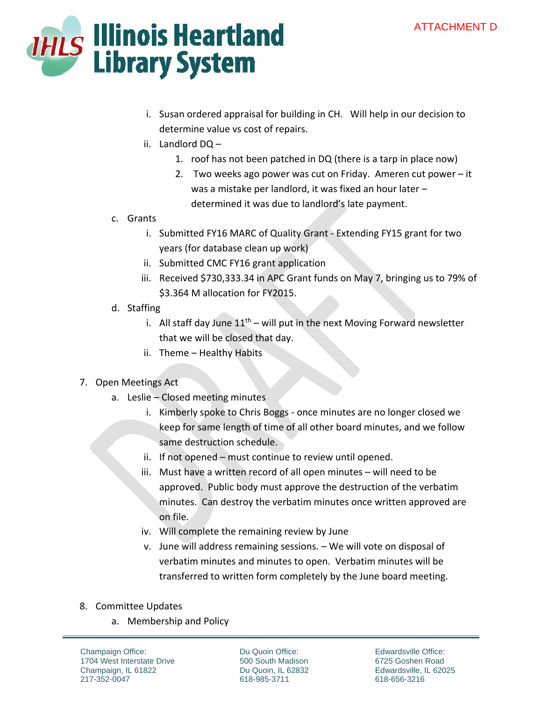### ATTACHMENT D



- i. Susan ordered appraisal for building in CH. Will help in our decision to determine value vs cost of repairs.
- ii. Landlord DQ
	- 1. roof has not been patched in DQ (there is a tarp in place now)
	- 2. Two weeks ago power was cut on Friday. Ameren cut power it was a mistake per landlord, it was fixed an hour later – determined it was due to landlord's late payment.
- c. Grants
	- i. Submitted FY16 MARC of Quality Grant ‐ Extending FY15 grant for two years (for database clean up work)
	- ii. Submitted CMC FY16 grant application
	- iii. Received \$730,333.34 in APC Grant funds on May 7, bringing us to 79% of \$3.364 M allocation for FY2015.
- d. Staffing
	- i. All staff day June  $11<sup>th</sup>$  will put in the next Moving Forward newsletter that we will be closed that day.
	- ii. Theme Healthy Habits

#### 7. Open Meetings Act

- a. Leslie Closed meeting minutes
	- i. Kimberly spoke to Chris Boggs ‐ once minutes are no longer closed we keep for same length of time of all other board minutes, and we follow same destruction schedule.
	- ii. If not opened must continue to review until opened.
	- iii. Must have a written record of all open minutes will need to be approved. Public body must approve the destruction of the verbatim minutes. Can destroy the verbatim minutes once written approved are on file.
	- iv. Will complete the remaining review by June
	- v. June will address remaining sessions. We will vote on disposal of verbatim minutes and minutes to open. Verbatim minutes will be transferred to written form completely by the June board meeting.
- 8. Committee Updates
	- a. Membership and Policy

Champaign Office: 1704 West Interstate Drive Champaign, IL 61822 217-352-0047

Du Quoin Office: 500 South Madison Du Quoin, IL 62832 618-985-3711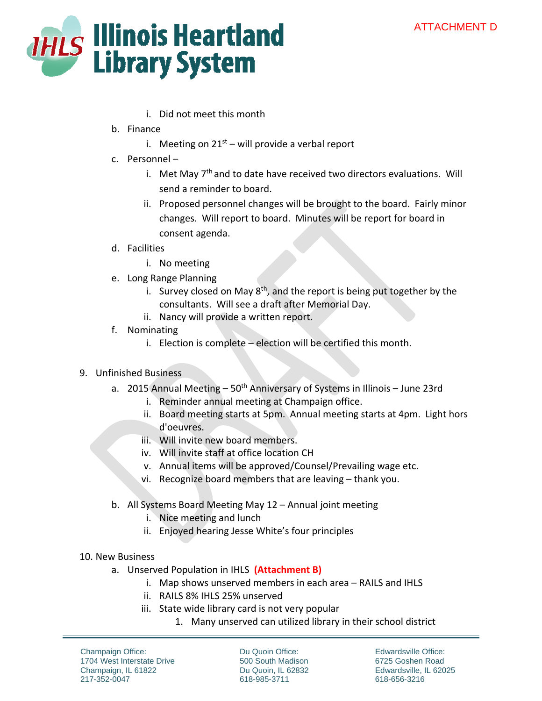### ATTACHMENT D



- i. Did not meet this month
- b. Finance
	- i. Meeting on  $21<sup>st</sup>$  will provide a verbal report
- c. Personnel
	- i. Met May  $7<sup>th</sup>$  and to date have received two directors evaluations. Will send a reminder to board.
	- ii. Proposed personnel changes will be brought to the board. Fairly minor changes. Will report to board. Minutes will be report for board in consent agenda.
- d. Facilities
	- i. No meeting
- e. Long Range Planning
	- i. Survey closed on May  $8<sup>th</sup>$ , and the report is being put together by the consultants. Will see a draft after Memorial Day.
	- ii. Nancy will provide a written report.
- f. Nominating
	- i. Election is complete election will be certified this month.
- 9. Unfinished Business
	- a. 2015 Annual Meeting  $-50<sup>th</sup>$  Anniversary of Systems in Illinois June 23rd
		- i. Reminder annual meeting at Champaign office.
		- ii. Board meeting starts at 5pm. Annual meeting starts at 4pm. Light hors d'oeuvres.
		- iii. Will invite new board members.
		- iv. Will invite staff at office location CH
		- v. Annual items will be approved/Counsel/Prevailing wage etc.
		- vi. Recognize board members that are leaving thank you.
	- b. All Systems Board Meeting May 12 Annual joint meeting
		- i. Nice meeting and lunch
		- ii. Enjoyed hearing Jesse White's four principles
- 10. New Business
	- a. Unserved Population in IHLS **(Attachment B)**
		- i. Map shows unserved members in each area RAILS and IHLS
		- ii. RAILS 8% IHLS 25% unserved
		- iii. State wide library card is not very popular
			- 1. Many unserved can utilized library in their school district

Champaign Office: 1704 West Interstate Drive Champaign, IL 61822 217-352-0047

Du Quoin Office: 500 South Madison Du Quoin, IL 62832 618-985-3711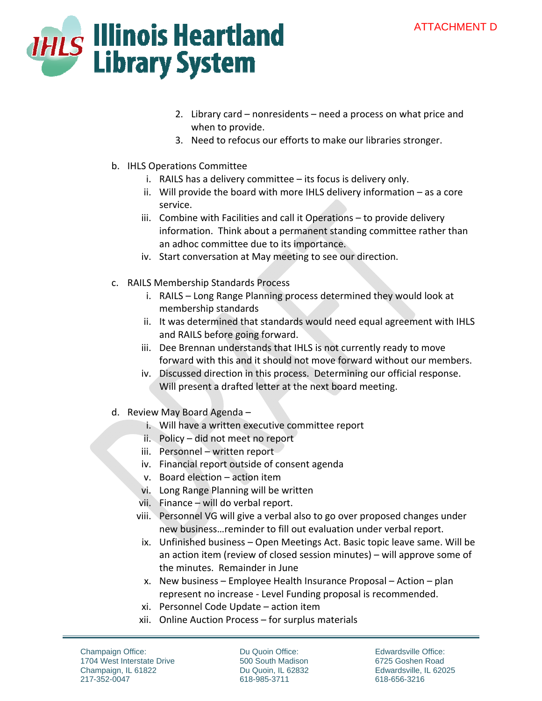### ATTACHMENT D



- 2. Library card nonresidents need a process on what price and when to provide.
- 3. Need to refocus our efforts to make our libraries stronger.
- b. IHLS Operations Committee
	- i. RAILS has a delivery committee its focus is delivery only.
	- ii. Will provide the board with more IHLS delivery information as a core service.
	- iii. Combine with Facilities and call it Operations to provide delivery information. Think about a permanent standing committee rather than an adhoc committee due to its importance.
	- iv. Start conversation at May meeting to see our direction.
- c. RAILS Membership Standards Process
	- i. RAILS Long Range Planning process determined they would look at membership standards
	- ii. It was determined that standards would need equal agreement with IHLS and RAILS before going forward.
	- iii. Dee Brennan understands that IHLS is not currently ready to move forward with this and it should not move forward without our members.
	- iv. Discussed direction in this process. Determining our official response. Will present a drafted letter at the next board meeting.
- d. Review May Board Agenda
	- i. Will have a written executive committee report
	- ii. Policy did not meet no report
	- iii. Personnel written report
	- iv. Financial report outside of consent agenda
	- v. Board election action item
	- vi. Long Range Planning will be written
	- vii. Finance will do verbal report.
	- viii. Personnel VG will give a verbal also to go over proposed changes under new business…reminder to fill out evaluation under verbal report.
	- ix. Unfinished business Open Meetings Act. Basic topic leave same. Will be an action item (review of closed session minutes) – will approve some of the minutes. Remainder in June
	- x. New business Employee Health Insurance Proposal Action plan represent no increase ‐ Level Funding proposal is recommended.
	- xi. Personnel Code Update action item
	- xii. Online Auction Process for surplus materials

Champaign Office: 1704 West Interstate Drive Champaign, IL 61822 217-352-0047

Du Quoin Office: 500 South Madison Du Quoin, IL 62832 618-985-3711